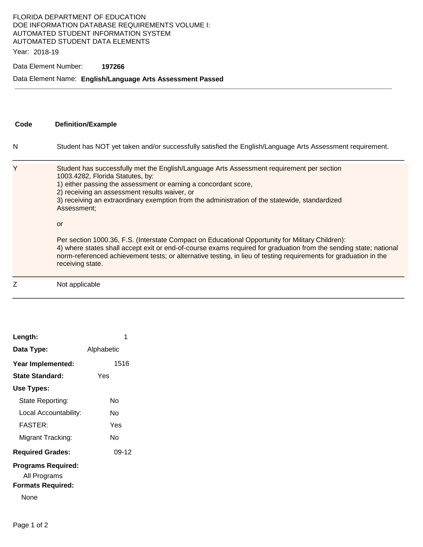### FLORIDA DEPARTMENT OF EDUCATION DOE INFORMATION DATABASE REQUIREMENTS VOLUME I: AUTOMATED STUDENT INFORMATION SYSTEM AUTOMATED STUDENT DATA ELEMENTS

Year: 2018-19

### Data Element Number: **197266**

### Data Element Name: **English/Language Arts Assessment Passed**

| Code | <b>Definition/Example</b>                                                                                                                                                                                                                                                                                                                                                                                                                                                                                                                                                                                                                                                                                                                 |
|------|-------------------------------------------------------------------------------------------------------------------------------------------------------------------------------------------------------------------------------------------------------------------------------------------------------------------------------------------------------------------------------------------------------------------------------------------------------------------------------------------------------------------------------------------------------------------------------------------------------------------------------------------------------------------------------------------------------------------------------------------|
| N    | Student has NOT yet taken and/or successfully satisfied the English/Language Arts Assessment requirement.                                                                                                                                                                                                                                                                                                                                                                                                                                                                                                                                                                                                                                 |
| Υ    | Student has successfully met the English/Language Arts Assessment requirement per section<br>1003.4282, Florida Statutes, by:<br>1) either passing the assessment or earning a concordant score,<br>2) receiving an assessment results waiver, or<br>3) receiving an extraordinary exemption from the administration of the statewide, standardized<br>Assessment;<br>or<br>Per section 1000.36, F.S. (Interstate Compact on Educational Opportunity for Military Children):<br>4) where states shall accept exit or end-of-course exams required for graduation from the sending state; national<br>norm-referenced achievement tests; or alternative testing, in lieu of testing requirements for graduation in the<br>receiving state. |
| Z    | Not applicable                                                                                                                                                                                                                                                                                                                                                                                                                                                                                                                                                                                                                                                                                                                            |

| Length:                   |            |  |
|---------------------------|------------|--|
| Data Type:                | Alphabetic |  |
| Year Implemented:         | 1516       |  |
| State Standard:           | Yes        |  |
| Use Types:                |            |  |
| State Reporting:          | N٥         |  |
| Local Accountability:     | N٥         |  |
| <b>FASTER:</b>            | Yes        |  |
| Migrant Tracking:         | N٥         |  |
| <b>Required Grades:</b>   | 09-12      |  |
| <b>Programs Required:</b> |            |  |
| All Programs              |            |  |
| <b>Formats Required:</b>  |            |  |
| None                      |            |  |